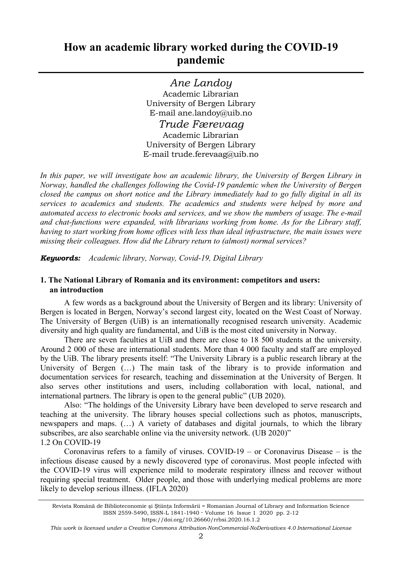Ane Landoy Academic Librarian University of Bergen Library E-mail ane.landoy@uib.no Trude Færevaag Academic Librarian University of Bergen Library E-mail trude.ferevaag@uib.no

In this paper, we will investigate how an academic library, the University of Bergen Library in Norway, handled the challenges following the Covid-19 pandemic when the University of Bergen closed the campus on short notice and the Library immediately had to go fully digital in all its services to academics and students. The academics and students were helped by more and automated access to electronic books and services, and we show the numbers of usage. The e-mail and chat-functions were expanded, with librarians working from home. As for the Library staff, having to start working from home offices with less than ideal infrastructure, the main issues were missing their colleagues. How did the Library return to (almost) normal services?

**Keywords:** Academic library, Norway, Covid-19, Digital Library

## 1. The National Library of Romania and its environment: competitors and users: an introduction

A few words as a background about the University of Bergen and its library: University of Bergen is located in Bergen, Norway's second largest city, located on the West Coast of Norway. The University of Bergen (UiB) is an internationally recognised research university. Academic diversity and high quality are fundamental, and UiB is the most cited university in Norway.

There are seven faculties at UiB and there are close to 18 500 students at the university. Around 2 000 of these are international students. More than 4 000 faculty and staff are employed by the UiB. The library presents itself: "The University Library is a public research library at the University of Bergen (...) The main task of the library is to provide information and documentation services for research, teaching and dissemination at the University of Bergen. It also serves other institutions and users, including collaboration with local, national, and international partners. The library is open to the general public" (UB 2020).

Also: "The holdings of the University Library have been developed to serve research and teaching at the university. The library houses special collections such as photos, manuscripts, newspapers and maps. (…) A variety of databases and digital journals, to which the library subscribes, are also searchable online via the university network. (UB 2020)" 1.2 On COVID-19

Coronavirus refers to a family of viruses. COVID-19 – or Coronavirus Disease – is the infectious disease caused by a newly discovered type of coronavirus. Most people infected with the COVID-19 virus will experience mild to moderate respiratory illness and recover without requiring special treatment. Older people, and those with underlying medical problems are more likely to develop serious illness. (IFLA 2020)

Revista Română de Biblioteconomie şi Ştiinţa Informării = Romanian Journal of Library and Information Science ISSN 2559-5490, ISSN-L 1841-1940 · Volume 16 Issue 1 2020 pp. 2-12

https://doi.org/10.26660/rrbsi.2020.16.1.2

This work is licensed under a Creative Commons Attribution-NonCommercial-NoDerivatives 4.0 International License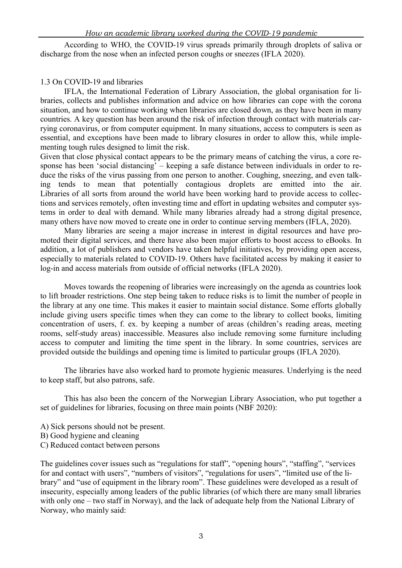According to WHO, the COVID-19 virus spreads primarily through droplets of saliva or discharge from the nose when an infected person coughs or sneezes (IFLA 2020).

## 1.3 On COVID-19 and libraries

IFLA, the International Federation of Library Association, the global organisation for libraries, collects and publishes information and advice on how libraries can cope with the corona situation, and how to continue working when libraries are closed down, as they have been in many countries. A key question has been around the risk of infection through contact with materials carrying coronavirus, or from computer equipment. In many situations, access to computers is seen as essential, and exceptions have been made to library closures in order to allow this, while implementing tough rules designed to limit the risk.

Given that close physical contact appears to be the primary means of catching the virus, a core response has been 'social distancing' – keeping a safe distance between individuals in order to reduce the risks of the virus passing from one person to another. Coughing, sneezing, and even talking tends to mean that potentially contagious droplets are emitted into the air. Libraries of all sorts from around the world have been working hard to provide access to collections and services remotely, often investing time and effort in updating websites and computer systems in order to deal with demand. While many libraries already had a strong digital presence, many others have now moved to create one in order to continue serving members (IFLA, 2020).

Many libraries are seeing a major increase in interest in digital resources and have promoted their digital services, and there have also been major efforts to boost access to eBooks. In addition, a lot of publishers and vendors have taken helpful initiatives, by providing open access, especially to materials related to COVID-19. Others have facilitated access by making it easier to log-in and access materials from outside of official networks (IFLA 2020).

Moves towards the reopening of libraries were increasingly on the agenda as countries look to lift broader restrictions. One step being taken to reduce risks is to limit the number of people in the library at any one time. This makes it easier to maintain social distance. Some efforts globally include giving users specific times when they can come to the library to collect books, limiting concentration of users, f. ex. by keeping a number of areas (children's reading areas, meeting rooms, self-study areas) inaccessible. Measures also include removing some furniture including access to computer and limiting the time spent in the library. In some countries, services are provided outside the buildings and opening time is limited to particular groups (IFLA 2020).

The libraries have also worked hard to promote hygienic measures. Underlying is the need to keep staff, but also patrons, safe.

This has also been the concern of the Norwegian Library Association, who put together a set of guidelines for libraries, focusing on three main points (NBF 2020):

- A) Sick persons should not be present.
- B) Good hygiene and cleaning
- C) Reduced contact between persons

The guidelines cover issues such as "regulations for staff", "opening hours", "staffing", "services for and contact with users", "numbers of visitors", "regulations for users", "limited use of the library" and "use of equipment in the library room". These guidelines were developed as a result of insecurity, especially among leaders of the public libraries (of which there are many small libraries with only one – two staff in Norway), and the lack of adequate help from the National Library of Norway, who mainly said: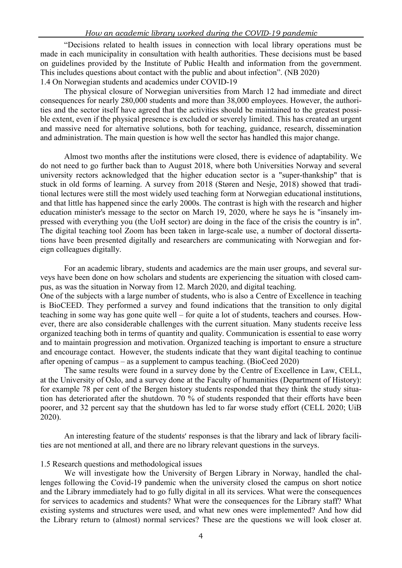"Decisions related to health issues in connection with local library operations must be made in each municipality in consultation with health authorities. These decisions must be based on guidelines provided by the Institute of Public Health and information from the government. This includes questions about contact with the public and about infection". (NB 2020) 1.4 On Norwegian students and academics under COVID-19

The physical closure of Norwegian universities from March 12 had immediate and direct consequences for nearly 280,000 students and more than 38,000 employees. However, the authorities and the sector itself have agreed that the activities should be maintained to the greatest possible extent, even if the physical presence is excluded or severely limited. This has created an urgent and massive need for alternative solutions, both for teaching, guidance, research, dissemination and administration. The main question is how well the sector has handled this major change.

Almost two months after the institutions were closed, there is evidence of adaptability. We do not need to go further back than to August 2018, where both Universities Norway and several university rectors acknowledged that the higher education sector is a "super-thankship" that is stuck in old forms of learning. A survey from 2018 (Støren and Nesje, 2018) showed that traditional lectures were still the most widely used teaching form at Norwegian educational institutions, and that little has happened since the early 2000s. The contrast is high with the research and higher education minister's message to the sector on March 19, 2020, where he says he is "insanely impressed with everything you (the UoH sector) are doing in the face of the crisis the country is in". The digital teaching tool Zoom has been taken in large-scale use, a number of doctoral dissertations have been presented digitally and researchers are communicating with Norwegian and foreign colleagues digitally.

For an academic library, students and academics are the main user groups, and several surveys have been done on how scholars and students are experiencing the situation with closed campus, as was the situation in Norway from 12. March 2020, and digital teaching.

One of the subjects with a large number of students, who is also a Centre of Excellence in teaching is BioCEED. They performed a survey and found indications that the transition to only digital teaching in some way has gone quite well – for quite a lot of students, teachers and courses. However, there are also considerable challenges with the current situation. Many students receive less organized teaching both in terms of quantity and quality. Communication is essential to ease worry and to maintain progression and motivation. Organized teaching is important to ensure a structure and encourage contact. However, the students indicate that they want digital teaching to continue after opening of campus – as a supplement to campus teaching. (BioCeed 2020)

The same results were found in a survey done by the Centre of Excellence in Law, CELL, at the University of Oslo, and a survey done at the Faculty of humanities (Department of History): for example 78 per cent of the Bergen history students responded that they think the study situation has deteriorated after the shutdown. 70 % of students responded that their efforts have been poorer, and 32 percent say that the shutdown has led to far worse study effort (CELL 2020; UiB 2020).

An interesting feature of the students' responses is that the library and lack of library facilities are not mentioned at all, and there are no library relevant questions in the surveys.

#### 1.5 Research questions and methodological issues

We will investigate how the University of Bergen Library in Norway, handled the challenges following the Covid-19 pandemic when the university closed the campus on short notice and the Library immediately had to go fully digital in all its services. What were the consequences for services to academics and students? What were the consequences for the Library staff? What existing systems and structures were used, and what new ones were implemented? And how did the Library return to (almost) normal services? These are the questions we will look closer at.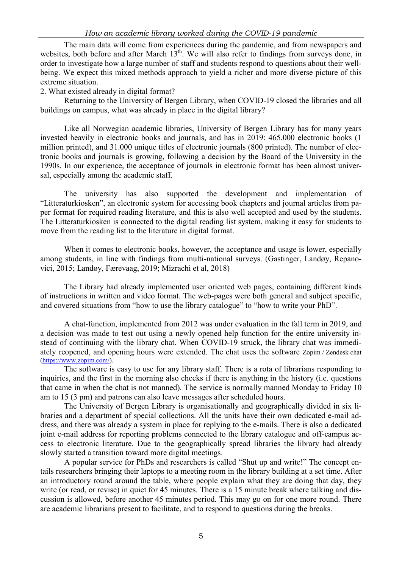The main data will come from experiences during the pandemic, and from newspapers and websites, both before and after March  $13<sup>th</sup>$ . We will also refer to findings from surveys done, in order to investigate how a large number of staff and students respond to questions about their wellbeing. We expect this mixed methods approach to yield a richer and more diverse picture of this extreme situation.

2. What existed already in digital format?

Returning to the University of Bergen Library, when COVID-19 closed the libraries and all buildings on campus, what was already in place in the digital library?

Like all Norwegian academic libraries, University of Bergen Library has for many years invested heavily in electronic books and journals, and has in 2019: 465.000 electronic books (1 million printed), and 31.000 unique titles of electronic journals (800 printed). The number of electronic books and journals is growing, following a decision by the Board of the University in the 1990s. In our experience, the acceptance of journals in electronic format has been almost universal, especially among the academic staff.

The university has also supported the development and implementation of "Litteraturkiosken", an electronic system for accessing book chapters and journal articles from paper format for required reading literature, and this is also well accepted and used by the students. The Litteraturkiosken is connected to the digital reading list system, making it easy for students to move from the reading list to the literature in digital format.

When it comes to electronic books, however, the acceptance and usage is lower, especially among students, in line with findings from multi-national surveys. (Gastinger, Landøy, Repanovici, 2015; Landøy, Færevaag, 2019; Mizrachi et al, 2018)

The Library had already implemented user oriented web pages, containing different kinds of instructions in written and video format. The web-pages were both general and subject specific, and covered situations from "how to use the library catalogue" to "how to write your PhD".

A chat-function, implemented from 2012 was under evaluation in the fall term in 2019, and a decision was made to test out using a newly opened help function for the entire university instead of continuing with the library chat. When COVID-19 struck, the library chat was immediately reopened, and opening hours were extended. The chat uses the software Zopim / Zendesk chat (https://www.zopim.com/).

The software is easy to use for any library staff. There is a rota of librarians responding to inquiries, and the first in the morning also checks if there is anything in the history (i.e. questions that came in when the chat is not manned). The service is normally manned Monday to Friday 10 am to 15 (3 pm) and patrons can also leave messages after scheduled hours.

The University of Bergen Library is organisationally and geographically divided in six libraries and a department of special collections. All the units have their own dedicated e-mail address, and there was already a system in place for replying to the e-mails. There is also a dedicated joint e-mail address for reporting problems connected to the library catalogue and off-campus access to electronic literature. Due to the geographically spread libraries the library had already slowly started a transition toward more digital meetings.

A popular service for PhDs and researchers is called "Shut up and write!" The concept entails researchers bringing their laptops to a meeting room in the library building at a set time. After an introductory round around the table, where people explain what they are doing that day, they write (or read, or revise) in quiet for 45 minutes. There is a 15 minute break where talking and discussion is allowed, before another 45 minutes period. This may go on for one more round. There are academic librarians present to facilitate, and to respond to questions during the breaks.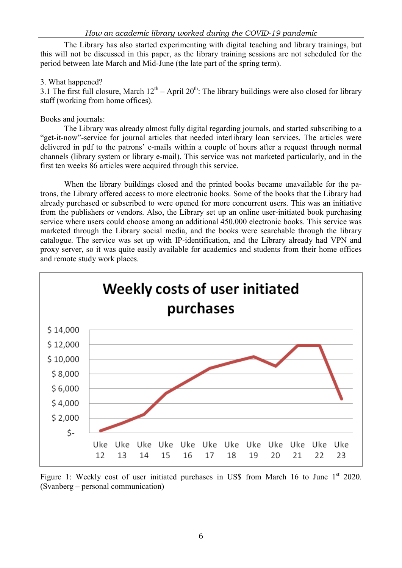The Library has also started experimenting with digital teaching and library trainings, but this will not be discussed in this paper, as the library training sessions are not scheduled for the period between late March and Mid-June (the late part of the spring term).

## 3. What happened?

3.1 The first full closure, March  $12^{th}$  – April  $20^{th}$ : The library buildings were also closed for library staff (working from home offices).

# Books and journals:

The Library was already almost fully digital regarding journals, and started subscribing to a "get-it-now"-service for journal articles that needed interlibrary loan services. The articles were delivered in pdf to the patrons' e-mails within a couple of hours after a request through normal channels (library system or library e-mail). This service was not marketed particularly, and in the first ten weeks 86 articles were acquired through this service.

When the library buildings closed and the printed books became unavailable for the patrons, the Library offered access to more electronic books. Some of the books that the Library had already purchased or subscribed to were opened for more concurrent users. This was an initiative from the publishers or vendors. Also, the Library set up an online user-initiated book purchasing service where users could choose among an additional 450.000 electronic books. This service was marketed through the Library social media, and the books were searchable through the library catalogue. The service was set up with IP-identification, and the Library already had VPN and proxy server, so it was quite easily available for academics and students from their home offices and remote study work places.



Figure 1: Weekly cost of user initiated purchases in US\$ from March 16 to June  $1<sup>st</sup>$  2020. (Svanberg – personal communication)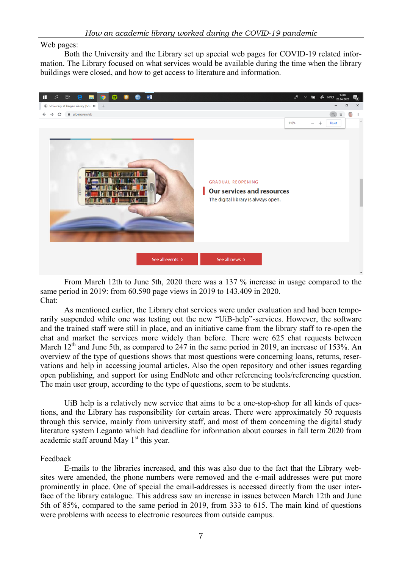Web pages:

Both the University and the Library set up special web pages for COVID-19 related information. The Library focused on what services would be available during the time when the library buildings were closed, and how to get access to literature and information.



From March 12th to June 5th, 2020 there was a 137 % increase in usage compared to the same period in 2019: from 60.590 page views in 2019 to 143.409 in 2020. Chat:

As mentioned earlier, the Library chat services were under evaluation and had been temporarily suspended while one was testing out the new "UiB-help"-services. However, the software and the trained staff were still in place, and an initiative came from the library staff to re-open the chat and market the services more widely than before. There were 625 chat requests between March  $12<sup>th</sup>$  and June 5th, as compared to 247 in the same period in 2019, an increase of 153%. An overview of the type of questions shows that most questions were concerning loans, returns, reservations and help in accessing journal articles. Also the open repository and other issues regarding open publishing, and support for using EndNote and other referencing tools/referencing question. The main user group, according to the type of questions, seem to be students.

UiB help is a relatively new service that aims to be a one-stop-shop for all kinds of questions, and the Library has responsibility for certain areas. There were approximately 50 requests through this service, mainly from university staff, and most of them concerning the digital study literature system Leganto which had deadline for information about courses in fall term 2020 from academic staff around May  $1<sup>st</sup>$  this year.

#### Feedback

E-mails to the libraries increased, and this was also due to the fact that the Library websites were amended, the phone numbers were removed and the e-mail addresses were put more prominently in place. One of special the email-addresses is accessed directly from the user interface of the library catalogue. This address saw an increase in issues between March 12th and June 5th of 85%, compared to the same period in 2019, from 333 to 615. The main kind of questions were problems with access to electronic resources from outside campus.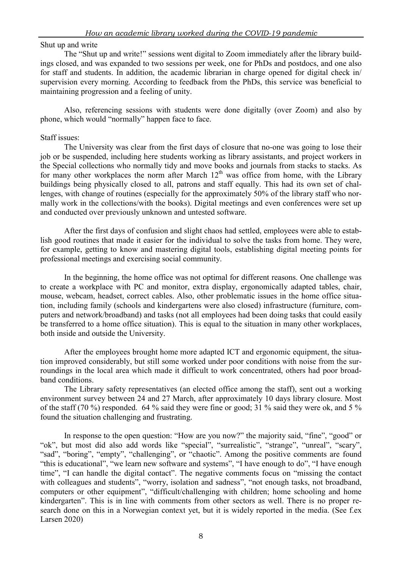## Shut up and write

The "Shut up and write!" sessions went digital to Zoom immediately after the library buildings closed, and was expanded to two sessions per week, one for PhDs and postdocs, and one also for staff and students. In addition, the academic librarian in charge opened for digital check in/ supervision every morning. According to feedback from the PhDs, this service was beneficial to maintaining progression and a feeling of unity.

Also, referencing sessions with students were done digitally (over Zoom) and also by phone, which would "normally" happen face to face.

## Staff issues:

The University was clear from the first days of closure that no-one was going to lose their job or be suspended, including here students working as library assistants, and project workers in the Special collections who normally tidy and move books and journals from stacks to stacks. As for many other workplaces the norm after March  $12<sup>th</sup>$  was office from home, with the Library buildings being physically closed to all, patrons and staff equally. This had its own set of challenges, with change of routines (especially for the approximately 50% of the library staff who normally work in the collections/with the books). Digital meetings and even conferences were set up and conducted over previously unknown and untested software.

After the first days of confusion and slight chaos had settled, employees were able to establish good routines that made it easier for the individual to solve the tasks from home. They were, for example, getting to know and mastering digital tools, establishing digital meeting points for professional meetings and exercising social community.

In the beginning, the home office was not optimal for different reasons. One challenge was to create a workplace with PC and monitor, extra display, ergonomically adapted tables, chair, mouse, webcam, headset, correct cables. Also, other problematic issues in the home office situation, including family (schools and kindergartens were also closed) infrastructure (furniture, computers and network/broadband) and tasks (not all employees had been doing tasks that could easily be transferred to a home office situation). This is equal to the situation in many other workplaces, both inside and outside the University.

After the employees brought home more adapted ICT and ergonomic equipment, the situation improved considerably, but still some worked under poor conditions with noise from the surroundings in the local area which made it difficult to work concentrated, others had poor broadband conditions.

The Library safety representatives (an elected office among the staff), sent out a working environment survey between 24 and 27 March, after approximately 10 days library closure. Most of the staff (70 %) responded. 64 % said they were fine or good; 31 % said they were ok, and 5 % found the situation challenging and frustrating.

In response to the open question: "How are you now?" the majority said, "fine", "good" or "ok", but most did also add words like "special", "surrealistic", "strange", "unreal", "scary", "sad", "boring", "empty", "challenging", or "chaotic". Among the positive comments are found "this is educational", "we learn new software and systems", "I have enough to do", "I have enough time", "I can handle the digital contact". The negative comments focus on "missing the contact with colleagues and students", "worry, isolation and sadness", "not enough tasks, not broadband, computers or other equipment", "difficult/challenging with children; home schooling and home kindergarten". This is in line with comments from other sectors as well. There is no proper research done on this in a Norwegian context yet, but it is widely reported in the media. (See f.ex Larsen 2020)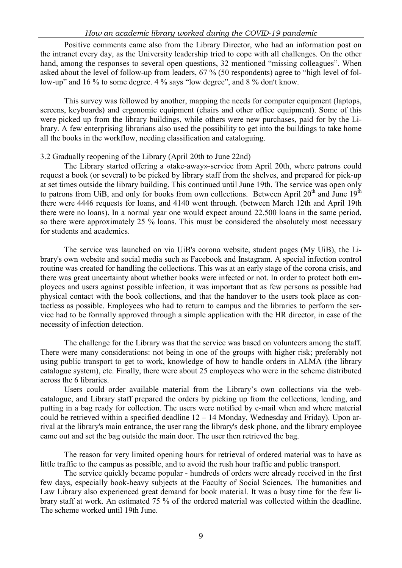Positive comments came also from the Library Director, who had an information post on the intranet every day, as the University leadership tried to cope with all challenges. On the other hand, among the responses to several open questions, 32 mentioned "missing colleagues". When asked about the level of follow-up from leaders, 67 % (50 respondents) agree to "high level of follow-up" and 16 % to some degree. 4 % says "low degree", and 8 % don't know.

This survey was followed by another, mapping the needs for computer equipment (laptops, screens, keyboards) and ergonomic equipment (chairs and other office equipment). Some of this were picked up from the library buildings, while others were new purchases, paid for by the Library. A few enterprising librarians also used the possibility to get into the buildings to take home all the books in the workflow, needing classification and cataloguing.

#### 3.2 Gradually reopening of the Library (April 20th to June 22nd)

The Library started offering a «take-away»-service from April 20th, where patrons could request a book (or several) to be picked by library staff from the shelves, and prepared for pick-up at set times outside the library building. This continued until June 19th. The service was open only to patrons from UiB, and only for books from own collections. Between April 20<sup>th</sup> and June 19<sup>th</sup> there were 4446 requests for loans, and 4140 went through. (between March 12th and April 19th there were no loans). In a normal year one would expect around 22.500 loans in the same period, so there were approximately 25 % loans. This must be considered the absolutely most necessary for students and academics.

The service was launched on via UiB's corona website, student pages (My UiB), the Library's own website and social media such as Facebook and Instagram. A special infection control routine was created for handling the collections. This was at an early stage of the corona crisis, and there was great uncertainty about whether books were infected or not. In order to protect both employees and users against possible infection, it was important that as few persons as possible had physical contact with the book collections, and that the handover to the users took place as contactless as possible. Employees who had to return to campus and the libraries to perform the service had to be formally approved through a simple application with the HR director, in case of the necessity of infection detection.

The challenge for the Library was that the service was based on volunteers among the staff. There were many considerations: not being in one of the groups with higher risk; preferably not using public transport to get to work, knowledge of how to handle orders in ALMA (the library catalogue system), etc. Finally, there were about 25 employees who were in the scheme distributed across the 6 libraries.

Users could order available material from the Library's own collections via the webcatalogue, and Library staff prepared the orders by picking up from the collections, lending, and putting in a bag ready for collection. The users were notified by e-mail when and where material could be retrieved within a specified deadline  $12 - 14$  Monday, Wednesday and Friday). Upon arrival at the library's main entrance, the user rang the library's desk phone, and the library employee came out and set the bag outside the main door. The user then retrieved the bag.

The reason for very limited opening hours for retrieval of ordered material was to have as little traffic to the campus as possible, and to avoid the rush hour traffic and public transport.

The service quickly became popular - hundreds of orders were already received in the first few days, especially book-heavy subjects at the Faculty of Social Sciences. The humanities and Law Library also experienced great demand for book material. It was a busy time for the few library staff at work. An estimated 75 % of the ordered material was collected within the deadline. The scheme worked until 19th June.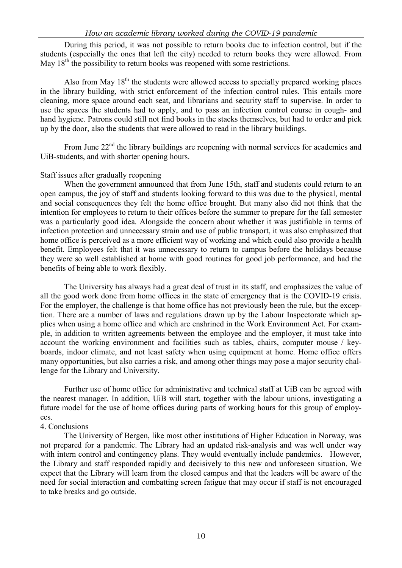During this period, it was not possible to return books due to infection control, but if the students (especially the ones that left the city) needed to return books they were allowed. From May  $18<sup>th</sup>$  the possibility to return books was reopened with some restrictions.

Also from May  $18<sup>th</sup>$  the students were allowed access to specially prepared working places in the library building, with strict enforcement of the infection control rules. This entails more cleaning, more space around each seat, and librarians and security staff to supervise. In order to use the spaces the students had to apply, and to pass an infection control course in cough- and hand hygiene. Patrons could still not find books in the stacks themselves, but had to order and pick up by the door, also the students that were allowed to read in the library buildings.

From June 22<sup>nd</sup> the library buildings are reopening with normal services for academics and UiB-students, and with shorter opening hours.

#### Staff issues after gradually reopening

When the government announced that from June 15th, staff and students could return to an open campus, the joy of staff and students looking forward to this was due to the physical, mental and social consequences they felt the home office brought. But many also did not think that the intention for employees to return to their offices before the summer to prepare for the fall semester was a particularly good idea. Alongside the concern about whether it was justifiable in terms of infection protection and unnecessary strain and use of public transport, it was also emphasized that home office is perceived as a more efficient way of working and which could also provide a health benefit. Employees felt that it was unnecessary to return to campus before the holidays because they were so well established at home with good routines for good job performance, and had the benefits of being able to work flexibly.

The University has always had a great deal of trust in its staff, and emphasizes the value of all the good work done from home offices in the state of emergency that is the COVID-19 crisis. For the employer, the challenge is that home office has not previously been the rule, but the exception. There are a number of laws and regulations drawn up by the Labour Inspectorate which applies when using a home office and which are enshrined in the Work Environment Act. For example, in addition to written agreements between the employee and the employer, it must take into account the working environment and facilities such as tables, chairs, computer mouse / keyboards, indoor climate, and not least safety when using equipment at home. Home office offers many opportunities, but also carries a risk, and among other things may pose a major security challenge for the Library and University.

Further use of home office for administrative and technical staff at UiB can be agreed with the nearest manager. In addition, UiB will start, together with the labour unions, investigating a future model for the use of home offices during parts of working hours for this group of employees.

#### 4. Conclusions

The University of Bergen, like most other institutions of Higher Education in Norway, was not prepared for a pandemic. The Library had an updated risk-analysis and was well under way with intern control and contingency plans. They would eventually include pandemics. However, the Library and staff responded rapidly and decisively to this new and unforeseen situation. We expect that the Library will learn from the closed campus and that the leaders will be aware of the need for social interaction and combatting screen fatigue that may occur if staff is not encouraged to take breaks and go outside.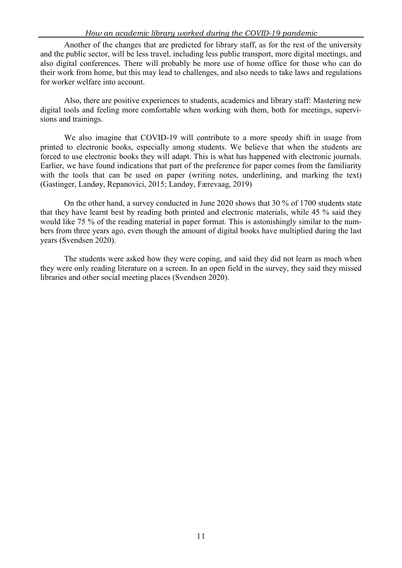Another of the changes that are predicted for library staff, as for the rest of the university and the public sector, will be less travel, including less public transport, more digital meetings, and also digital conferences. There will probably be more use of home office for those who can do their work from home, but this may lead to challenges, and also needs to take laws and regulations for worker welfare into account.

Also, there are positive experiences to students, academics and library staff: Mastering new digital tools and feeling more comfortable when working with them, both for meetings, supervisions and trainings.

We also imagine that COVID-19 will contribute to a more speedy shift in usage from printed to electronic books, especially among students. We believe that when the students are forced to use electronic books they will adapt. This is what has happened with electronic journals. Earlier, we have found indications that part of the preference for paper comes from the familiarity with the tools that can be used on paper (writing notes, underlining, and marking the text) (Gastinger, Landøy, Repanovici, 2015; Landøy, Færevaag, 2019)

On the other hand, a survey conducted in June 2020 shows that 30 % of 1700 students state that they have learnt best by reading both printed and electronic materials, while 45 % said they would like 75 % of the reading material in paper format. This is astonishingly similar to the numbers from three years ago, even though the amount of digital books have multiplied during the last years (Svendsen 2020).

The students were asked how they were coping, and said they did not learn as much when they were only reading literature on a screen. In an open field in the survey, they said they missed libraries and other social meeting places (Svendsen 2020).